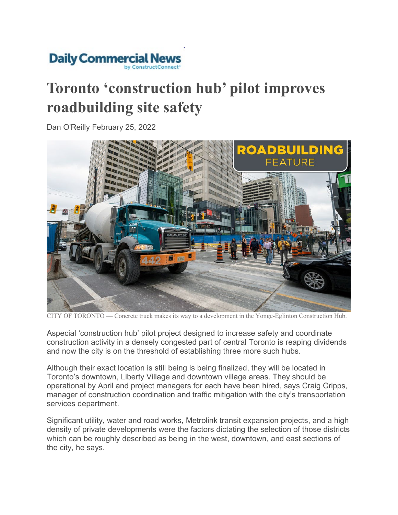

## **Toronto 'construction hub' pilot improves roadbuilding site safety**

Dan O'Reilly February 25, 2022



CITY OF TORONTO — Concrete truck makes its way to a development in the Yonge-Eglinton Construction Hub.

Aspecial 'construction hub' pilot project designed to increase safety and coordinate construction activity in a densely congested part of central Toronto is reaping dividends and now the city is on the threshold of establishing three more such hubs.

Although their exact location is still being is being finalized, they will be located in Toronto's downtown, Liberty Village and downtown village areas. They should be operational by April and project managers for each have been hired, says Craig Cripps, manager of construction coordination and traffic mitigation with the city's transportation services department.

Significant utility, water and road works, Metrolink transit expansion projects, and a high density of private developments were the factors dictating the selection of those districts which can be roughly described as being in the west, downtown, and east sections of the city, he says.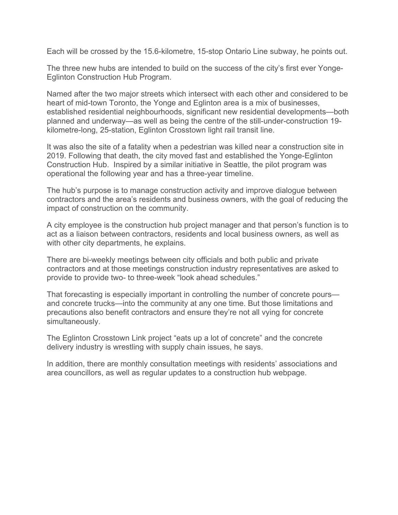Each will be crossed by the 15.6-kilometre, 15-stop Ontario Line subway, he points out.

The three new hubs are intended to build on the success of the city's first ever Yonge-Eglinton Construction Hub Program.

Named after the two major streets which intersect with each other and considered to be heart of mid-town Toronto, the Yonge and Eglinton area is a mix of businesses, established residential neighbourhoods, significant new residential developments—both planned and underway—as well as being the centre of the still-under-construction 19 kilometre-long, 25-station, Eglinton Crosstown light rail transit line.

It was also the site of a fatality when a pedestrian was killed near a construction site in 2019. Following that death, the city moved fast and established the Yonge-Eglinton Construction Hub. Inspired by a similar initiative in Seattle, the pilot program was operational the following year and has a three-year timeline.

The hub's purpose is to manage construction activity and improve dialogue between contractors and the area's residents and business owners, with the goal of reducing the impact of construction on the community.

A city employee is the construction hub project manager and that person's function is to act as a liaison between contractors, residents and local business owners, as well as with other city departments, he explains.

There are bi-weekly meetings between city officials and both public and private contractors and at those meetings construction industry representatives are asked to provide to provide two- to three-week "look ahead schedules."

That forecasting is especially important in controlling the number of concrete pours and concrete trucks—into the community at any one time. But those limitations and precautions also benefit contractors and ensure they're not all vying for concrete simultaneously.

The Eglinton Crosstown Link project "eats up a lot of concrete" and the concrete delivery industry is wrestling with supply chain issues, he says.

In addition, there are monthly consultation meetings with residents' associations and area councillors, as well as regular updates to a construction hub webpage.